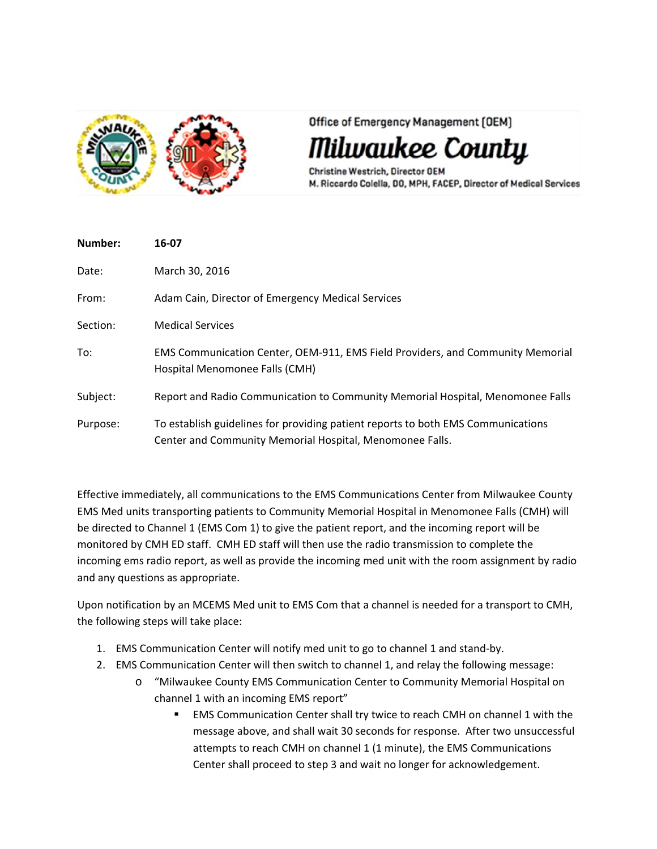

Office of Emergency Management (OEM)

lwaukee County

Christine Westrich, Director OEM M. Riccardo Colella, DO, MPH, FACEP, Director of Medical Services

| Number:  | 16-07                                                                                                                                        |
|----------|----------------------------------------------------------------------------------------------------------------------------------------------|
| Date:    | March 30, 2016                                                                                                                               |
| From:    | Adam Cain, Director of Emergency Medical Services                                                                                            |
| Section: | <b>Medical Services</b>                                                                                                                      |
| To:      | EMS Communication Center, OEM-911, EMS Field Providers, and Community Memorial<br>Hospital Menomonee Falls (CMH)                             |
| Subject: | Report and Radio Communication to Community Memorial Hospital, Menomonee Falls                                                               |
| Purpose: | To establish guidelines for providing patient reports to both EMS Communications<br>Center and Community Memorial Hospital, Menomonee Falls. |

Effective immediately, all communications to the EMS Communications Center from Milwaukee County EMS Med units transporting patients to Community Memorial Hospital in Menomonee Falls (CMH) will be directed to Channel 1 (EMS Com 1) to give the patient report, and the incoming report will be monitored by CMH ED staff. CMH ED staff will then use the radio transmission to complete the incoming ems radio report, as well as provide the incoming med unit with the room assignment by radio and any questions as appropriate.

Upon notification by an MCEMS Med unit to EMS Com that a channel is needed for a transport to CMH, the following steps will take place:

- 1. EMS Communication Center will notify med unit to go to channel 1 and stand‐by.
- 2. EMS Communication Center will then switch to channel 1, and relay the following message:
	- o "Milwaukee County EMS Communication Center to Community Memorial Hospital on channel 1 with an incoming EMS report"
		- EMS Communication Center shall try twice to reach CMH on channel 1 with the message above, and shall wait 30 seconds for response. After two unsuccessful attempts to reach CMH on channel 1 (1 minute), the EMS Communications Center shall proceed to step 3 and wait no longer for acknowledgement.